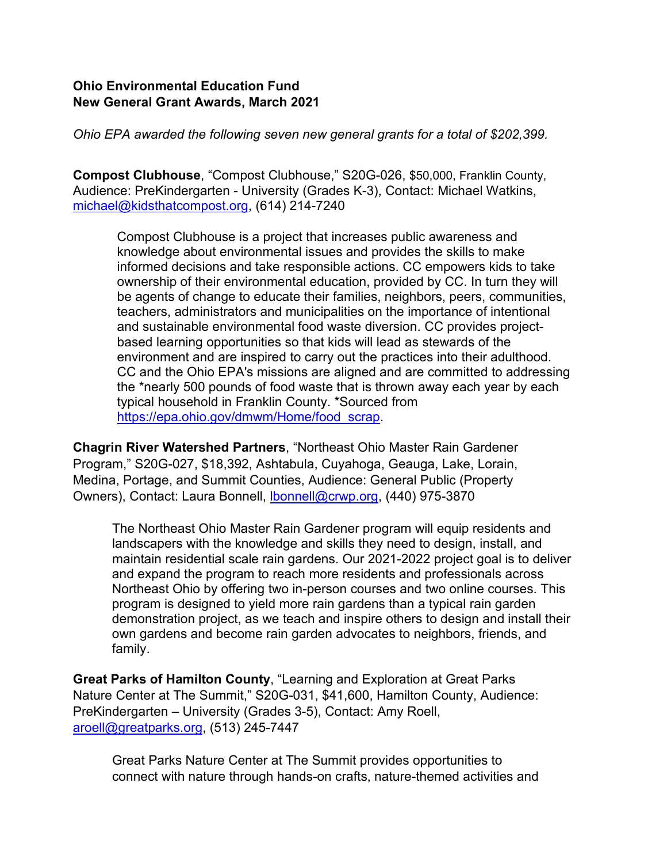## **Ohio Environmental Education Fund New General Grant Awards, March 2021**

*Ohio EPA awarded the following seven new general grants for a total of \$202,399.*

**Compost Clubhouse**, "Compost Clubhouse," S20G-026, \$50,000, Franklin County, Audience: PreKindergarten - University (Grades K-3), Contact: Michael Watkins, [michael@kidsthatcompost.org,](mailto:michael@kidsthatcompost.org) (614) 214-7240

Compost Clubhouse is a project that increases public awareness and knowledge about environmental issues and provides the skills to make informed decisions and take responsible actions. CC empowers kids to take ownership of their environmental education, provided by CC. In turn they will be agents of change to educate their families, neighbors, peers, communities, teachers, administrators and municipalities on the importance of intentional and sustainable environmental food waste diversion. CC provides projectbased learning opportunities so that kids will lead as stewards of the environment and are inspired to carry out the practices into their adulthood. CC and the Ohio EPA's missions are aligned and are committed to addressing the \*nearly 500 pounds of food waste that is thrown away each year by each typical household in Franklin County. \*Sourced from [https://epa.ohio.gov/dmwm/Home/food\\_scrap.](https://epa.ohio.gov/dmwm/Home/food_scrap)

**Chagrin River Watershed Partners**, "Northeast Ohio Master Rain Gardener Program," S20G-027, \$18,392, Ashtabula, Cuyahoga, Geauga, Lake, Lorain, Medina, Portage, and Summit Counties, Audience: General Public (Property Owners), Contact: Laura Bonnell, **bonnell@crwp.org**, (440) 975-3870

The Northeast Ohio Master Rain Gardener program will equip residents and landscapers with the knowledge and skills they need to design, install, and maintain residential scale rain gardens. Our 2021-2022 project goal is to deliver and expand the program to reach more residents and professionals across Northeast Ohio by offering two in-person courses and two online courses. This program is designed to yield more rain gardens than a typical rain garden demonstration project, as we teach and inspire others to design and install their own gardens and become rain garden advocates to neighbors, friends, and family.

**Great Parks of Hamilton County**, "Learning and Exploration at Great Parks Nature Center at The Summit," S20G-031, \$41,600, Hamilton County, Audience: PreKindergarten – University (Grades 3-5), Contact: Amy Roell, [aroell@greatparks.org,](mailto:aroell@greatparks.org) (513) 245-7447

Great Parks Nature Center at The Summit provides opportunities to connect with nature through hands-on crafts, nature-themed activities and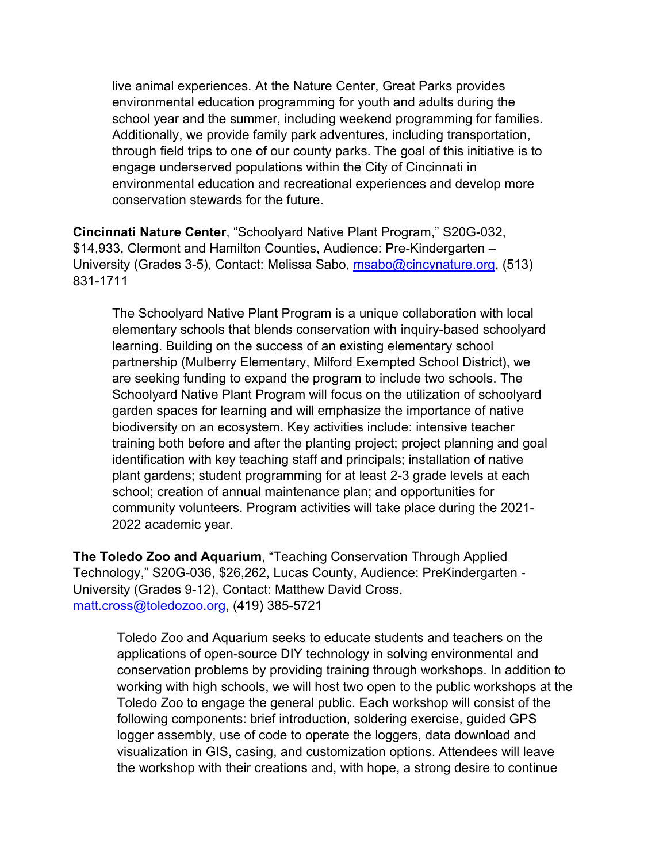live animal experiences. At the Nature Center, Great Parks provides environmental education programming for youth and adults during the school year and the summer, including weekend programming for families. Additionally, we provide family park adventures, including transportation, through field trips to one of our county parks. The goal of this initiative is to engage underserved populations within the City of Cincinnati in environmental education and recreational experiences and develop more conservation stewards for the future.

**Cincinnati Nature Center**, "Schoolyard Native Plant Program," S20G-032, \$14,933, Clermont and Hamilton Counties, Audience: Pre-Kindergarten – University (Grades 3-5), Contact: Melissa Sabo, [msabo@cincynature.org,](mailto:msabo@cincynature.org) (513) 831-1711

The Schoolyard Native Plant Program is a unique collaboration with local elementary schools that blends conservation with inquiry-based schoolyard learning. Building on the success of an existing elementary school partnership (Mulberry Elementary, Milford Exempted School District), we are seeking funding to expand the program to include two schools. The Schoolyard Native Plant Program will focus on the utilization of schoolyard garden spaces for learning and will emphasize the importance of native biodiversity on an ecosystem. Key activities include: intensive teacher training both before and after the planting project; project planning and goal identification with key teaching staff and principals; installation of native plant gardens; student programming for at least 2-3 grade levels at each school; creation of annual maintenance plan; and opportunities for community volunteers. Program activities will take place during the 2021- 2022 academic year.

**The Toledo Zoo and Aquarium**, "Teaching Conservation Through Applied Technology," S20G-036, \$26,262, Lucas County, Audience: PreKindergarten - University (Grades 9-12), Contact: Matthew David Cross, [matt.cross@toledozoo.org,](mailto:matt.cross@toledozoo.org) (419) 385-5721

Toledo Zoo and Aquarium seeks to educate students and teachers on the applications of open-source DIY technology in solving environmental and conservation problems by providing training through workshops. In addition to working with high schools, we will host two open to the public workshops at the Toledo Zoo to engage the general public. Each workshop will consist of the following components: brief introduction, soldering exercise, guided GPS logger assembly, use of code to operate the loggers, data download and visualization in GIS, casing, and customization options. Attendees will leave the workshop with their creations and, with hope, a strong desire to continue